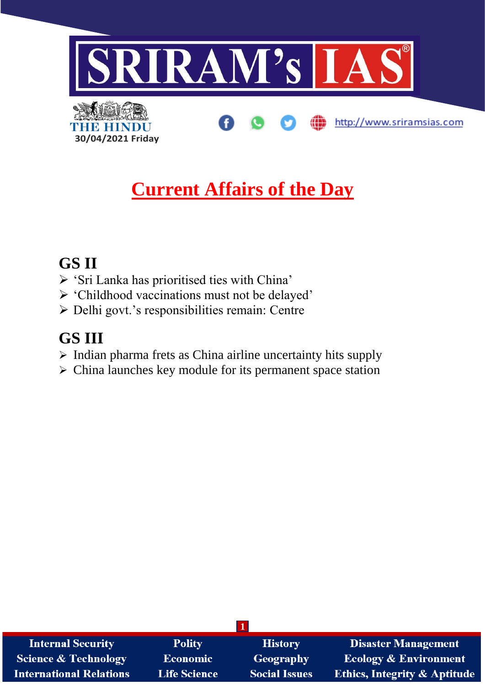

# **Current Affairs of the Day**

# **GS II**

- ➢ 'Sri Lanka has prioritised ties with China'
- ➢ 'Childhood vaccinations must not be delayed'
- ➢ Delhi govt.'s responsibilities remain: Centre

# **GS III**

- $\triangleright$  Indian pharma frets as China airline uncertainty hits supply
- ➢ China launches key module for its permanent space station

| <b>Internal Security</b>        | <b>Polity</b>       | <b>History</b>       | <b>Disaster Management</b>              |
|---------------------------------|---------------------|----------------------|-----------------------------------------|
| <b>Science &amp; Technology</b> | <b>Economic</b>     | <b>Geography</b>     | <b>Ecology &amp; Environment</b>        |
| <b>International Relations</b>  | <b>Life Science</b> | <b>Social Issues</b> | <b>Ethics, Integrity &amp; Aptitude</b> |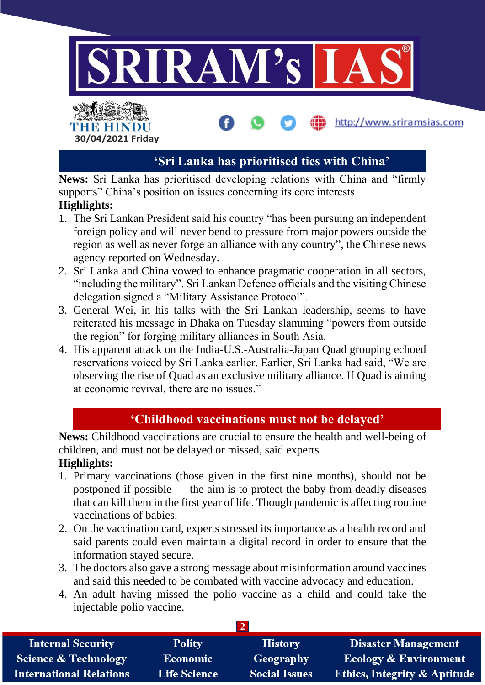

# **'Sri Lanka has prioritised ties with China'**

**News:** Sri Lanka has prioritised developing relations with China and "firmly supports" China's position on issues concerning its core interests

#### **Highlights:**

- 1. The Sri Lankan President said his country "has been pursuing an independent foreign policy and will never bend to pressure from major powers outside the region as well as never forge an alliance with any country", the Chinese news agency reported on Wednesday.
- 2. Sri Lanka and China vowed to enhance pragmatic cooperation in all sectors, "including the military". Sri Lankan Defence officials and the visiting Chinese delegation signed a "Military Assistance Protocol".
- 3. General Wei, in his talks with the Sri Lankan leadership, seems to have reiterated his message in Dhaka on Tuesday slamming "powers from outside the region" for forging military alliances in South Asia.
- 4. His apparent attack on the India-U.S.-Australia-Japan Quad grouping echoed reservations voiced by Sri Lanka earlier. Earlier, Sri Lanka had said, "We are observing the rise of Quad as an exclusive military alliance. If Quad is aiming at economic revival, there are no issues."

# **'Childhood vaccinations must not be delayed'**

**News:** Childhood vaccinations are crucial to ensure the health and well-being of children, and must not be delayed or missed, said experts **Highlights:**

- 1. Primary vaccinations (those given in the first nine months), should not be postponed if possible — the aim is to protect the baby from deadly diseases that can kill them in the first year of life. Though pandemic is affecting routine vaccinations of babies.
- 2. On the vaccination card, experts stressed its importance as a health record and said parents could even maintain a digital record in order to ensure that the information stayed secure.
- 3. The doctors also gave a strong message about misinformation around vaccines and said this needed to be combated with vaccine advocacy and education.
- 4. An adult having missed the polio vaccine as a child and could take the injectable polio vaccine.

| <b>Internal Security</b>        | <b>Polity</b>       | <b>History</b>       | <b>Disaster Management</b>              |
|---------------------------------|---------------------|----------------------|-----------------------------------------|
| <b>Science &amp; Technology</b> | Economic            | Geography            | <b>Ecology &amp; Environment</b>        |
| <b>International Relations</b>  | <b>Life Science</b> | <b>Social Issues</b> | <b>Ethics, Integrity &amp; Aptitude</b> |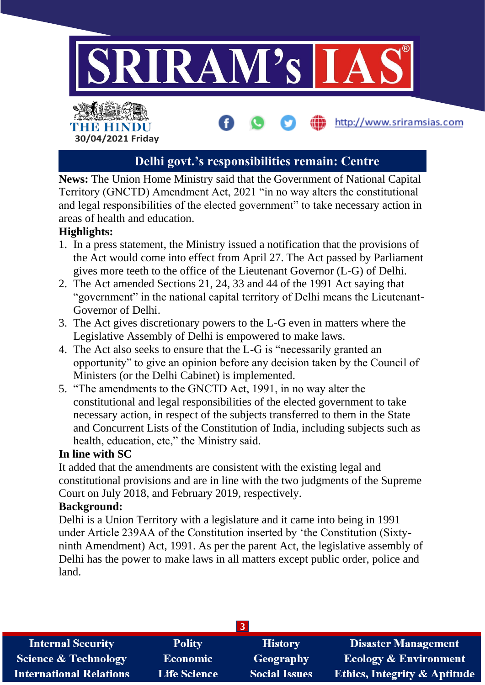

# **Delhi govt.'s responsibilities remain: Centre**

**News:** The Union Home Ministry said that the Government of National Capital Territory (GNCTD) Amendment Act, 2021 "in no way alters the constitutional and legal responsibilities of the elected government" to take necessary action in areas of health and education.

### **Highlights:**

- 1. In a press statement, the Ministry issued a notification that the provisions of the Act would come into effect from April 27. The Act passed by Parliament gives more teeth to the office of the Lieutenant Governor (L-G) of Delhi.
- 2. The Act amended Sections 21, 24, 33 and 44 of the 1991 Act saying that "government" in the national capital territory of Delhi means the Lieutenant-Governor of Delhi.
- 3. The Act gives discretionary powers to the L-G even in matters where the Legislative Assembly of Delhi is empowered to make laws.
- 4. The Act also seeks to ensure that the L-G is "necessarily granted an opportunity" to give an opinion before any decision taken by the Council of Ministers (or the Delhi Cabinet) is implemented.
- 5. "The amendments to the GNCTD Act, 1991, in no way alter the constitutional and legal responsibilities of the elected government to take necessary action, in respect of the subjects transferred to them in the State and Concurrent Lists of the Constitution of India, including subjects such as health, education, etc," the Ministry said.

#### **In line with SC**

It added that the amendments are consistent with the existing legal and constitutional provisions and are in line with the two judgments of the Supreme Court on July 2018, and February 2019, respectively.

#### **Background:**

Delhi is a Union Territory with a legislature and it came into being in 1991 under Article 239AA of the Constitution inserted by 'the Constitution (Sixtyninth Amendment) Act, 1991. As per the parent Act, the legislative assembly of Delhi has the power to make laws in all matters except public order, police and land.

| <b>Internal Security</b>       | <b>Polity</b>       | <b>History</b>       | <b>Disaster Management</b>              |
|--------------------------------|---------------------|----------------------|-----------------------------------------|
| Science & Technology           | <b>Economic</b>     | <b>Geography</b>     | <b>Ecology &amp; Environment</b>        |
| <b>International Relations</b> | <b>Life Science</b> | <b>Social Issues</b> | <b>Ethics, Integrity &amp; Aptitude</b> |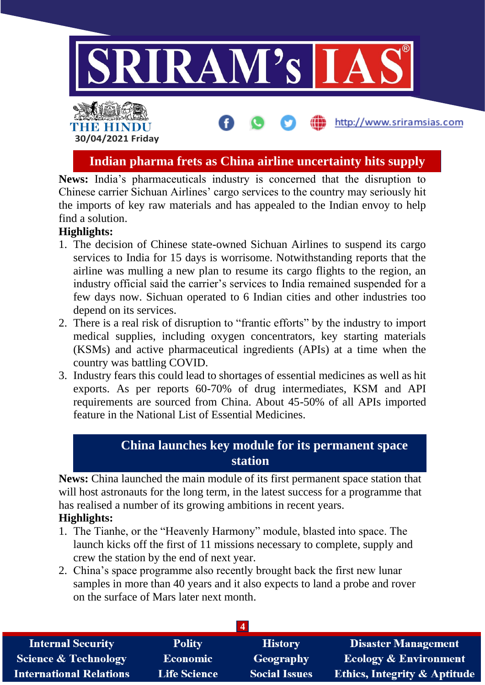

**Indian pharma frets as China airline uncertainty hits supply**

**News:** India's pharmaceuticals industry is concerned that the disruption to Chinese carrier Sichuan Airlines' cargo services to the country may seriously hit the imports of key raw materials and has appealed to the Indian envoy to help find a solution.

# **Highlights:**

- 1. The decision of Chinese state-owned Sichuan Airlines to suspend its cargo services to India for 15 days is worrisome. Notwithstanding reports that the airline was mulling a new plan to resume its cargo flights to the region, an industry official said the carrier's services to India remained suspended for a few days now. Sichuan operated to 6 Indian cities and other industries too depend on its services.
- 2. There is a real risk of disruption to "frantic efforts" by the industry to import medical supplies, including oxygen concentrators, key starting materials (KSMs) and active pharmaceutical ingredients (APIs) at a time when the country was battling COVID.
- 3. Industry fears this could lead to shortages of essential medicines as well as hit exports. As per reports 60-70% of drug intermediates, KSM and API requirements are sourced from China. About 45-50% of all APIs imported feature in the National List of Essential Medicines.

# **China launches key module for its permanent space station**

**News:** China launched the main module of its first permanent space station that will host astronauts for the long term, in the latest success for a programme that has realised a number of its growing ambitions in recent years.

### **Highlights:**

- 1. The Tianhe, or the "Heavenly Harmony" module, blasted into space. The launch kicks off the first of 11 missions necessary to complete, supply and crew the station by the end of next year.
- 2. China's space programme also recently brought back the first new lunar samples in more than 40 years and it also expects to land a probe and rover on the surface of Mars later next month.

| <b>Internal Security</b>        | <b>Polity</b>       | <b>History</b>       | <b>Disaster Management</b>              |
|---------------------------------|---------------------|----------------------|-----------------------------------------|
| <b>Science &amp; Technology</b> | <b>Economic</b>     | Geography            | <b>Ecology &amp; Environment</b>        |
| <b>International Relations</b>  | <b>Life Science</b> | <b>Social Issues</b> | <b>Ethics, Integrity &amp; Aptitude</b> |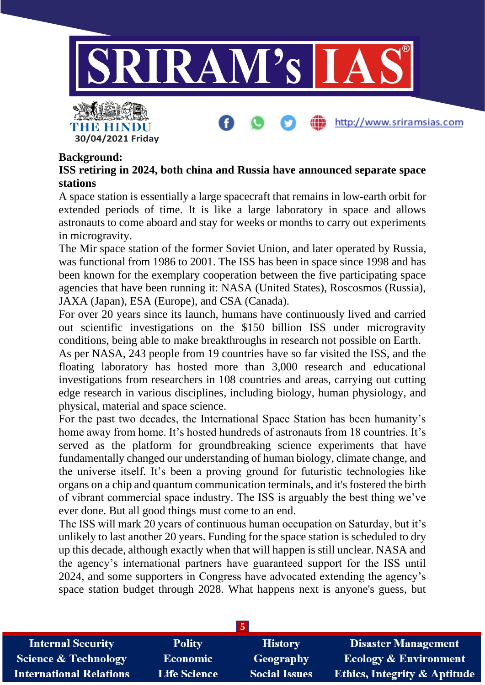

http://www.sriramsias.com

#### **Background:**

**30/04/2021 Friday**

THE HINDU

# **ISS retiring in 2024, both china and Russia have announced separate space stations**

A space station is essentially a large spacecraft that remains in low-earth orbit for extended periods of time. It is like a large laboratory in space and allows astronauts to come aboard and stay for weeks or months to carry out experiments in microgravity.

The Mir space station of the former Soviet Union, and later operated by Russia, was functional from 1986 to 2001. The ISS has been in space since 1998 and has been known for the exemplary cooperation between the five participating space agencies that have been running it: NASA (United States), Roscosmos (Russia), JAXA (Japan), ESA (Europe), and CSA (Canada).

For over 20 years since its launch, humans have continuously lived and carried out scientific investigations on the \$150 billion ISS under microgravity conditions, being able to make breakthroughs in research not possible on Earth.

As per NASA, 243 people from 19 countries have so far visited the ISS, and the floating laboratory has hosted more than 3,000 research and educational investigations from researchers in 108 countries and areas, carrying out cutting edge research in various disciplines, including biology, human physiology, and physical, material and space science.

For the past two decades, the International Space Station has been humanity's home away from home. It's hosted hundreds of astronauts from 18 countries. It's served as the platform for groundbreaking science experiments that have fundamentally changed our understanding of human biology, climate change, and the universe itself. It's been a proving ground for futuristic technologies like organs on a chip and quantum communication terminals, and it's fostered the birth of vibrant commercial space industry. The ISS is arguably the best thing we've ever done. But all good things must come to an end.

The ISS will mark 20 years of continuous human occupation on Saturday, but it's unlikely to last another 20 years. Funding for the space station is scheduled to dry up this decade, although exactly when that will happen is still unclear. NASA and the agency's international partners have guaranteed support for the ISS until 2024, and some supporters in Congress have advocated extending the agency's space station budget through 2028. What happens next is anyone's guess, but

| <b>Internal Security</b>        | <b>Polity</b>       | <b>History</b>       | <b>Disaster Management</b>              |
|---------------------------------|---------------------|----------------------|-----------------------------------------|
| <b>Science &amp; Technology</b> | <b>Economic</b>     | Geography            | <b>Ecology &amp; Environment</b>        |
| <b>International Relations</b>  | <b>Life Science</b> | <b>Social Issues</b> | <b>Ethics, Integrity &amp; Aptitude</b> |